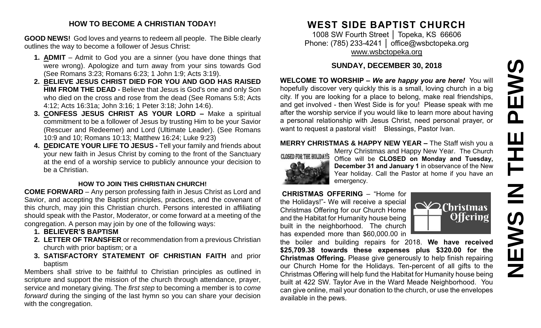# PEWS **NEWS IN THE PEWS**Ш H  $\overline{\mathsf{z}}$ NEWS

#### **HOW TO BECOME A CHRISTIAN TODAY!**

**GOOD NEWS!** God loves and yearns to redeem all people. The Bible clearly outlines the way to become a follower of Jesus Christ:

- **1. ADMIT** Admit to God you are a sinner (you have done things that were wrong). Apologize and turn away from your sins towards God (See Romans 3:23; Romans 6:23; 1 John 1:9; Acts 3:19).
- **2. BELIEVE JESUS CHRIST DIED FOR YOU AND GOD HAS RAISED HIM FROM THE DEAD -** Believe that Jesus is God's one and only Son who died on the cross and rose from the dead (See Romans 5:8; Acts 4:12; Acts 16:31a; John 3:16; 1 Peter 3:18; John 14:6).
- **3. CONFESS JESUS CHRIST AS YOUR LORD –** Make a spiritual commitment to be a follower of Jesus by trusting Him to be your Savior (Rescuer and Redeemer) and Lord (Ultimate Leader). (See Romans 10:9 and 10; Romans 10:13; Matthew 16:24; Luke 9:23)
- **4. DEDICATE YOUR LIFE TO JESUS -** Tell your family and friends about your new faith in Jesus Christ by coming to the front of the Sanctuary at the end of a worship service to publicly announce your decision to be a Christian.

#### **HOW TO JOIN THIS CHRISTIAN CHURCH!**

**COME FORWARD** – Any person professing faith in Jesus Christ as Lord and Savior, and accepting the Baptist principles, practices, and the covenant of this church, may join this Christian church. Persons interested in affiliating should speak with the Pastor, Moderator, or come forward at a meeting of the congregation. A person may join by one of the following ways:

- **1. BELIEVER'S BAPTISM**
- **2. LETTER OF TRANSFER** or recommendation from a previous Christian church with prior baptism; or a
- **3. SATISFACTORY STATEMENT OF CHRISTIAN FAITH** and prior baptism

Members shall strive to be faithful to Christian principles as outlined in scripture and support the mission of the church through attendance, prayer, service and monetary giving. The *first step* to becoming a member is to *come forward* during the singing of the last hymn so you can share your decision with the congregation.

# **WEST SIDE BAPTIST CHURCH**

1008 SW Fourth Street | Topeka, KS 66606 Phone: (785) 233-4241 | [office@wsbctopeka.org](mailto:office@wsbctopeka.org) [www.wsbctopeka.org](http://www.wsbctopeka.org/)

# **SUNDAY, DECEMBER 30, 2018**

**WELCOME TO WORSHIP –** *We are happy you are here!* You will hopefully discover very quickly this is a small, loving church in a big city. If you are looking for a place to belong, make real friendships, and get involved - then West Side is for you! Please speak with me after the worship service if you would like to learn more about having a personal relationship with Jesus Christ, need personal prayer, or want to request a pastoral visit! Blessings, Pastor Ivan.

## **MERRY CHRISTMAS & HAPPY NEW YEAR –** The Staff wish you a



Merry Christmas and Happy New Year. The Church Office will be **CLOSED on Monday and Tuesday, December 31 and January 1** in observance of the New Year holiday. Call the Pastor at home if you have an emergency.

**CHRISTMAS OFFERING** – "Home for the Holidays!"- We will receive a special Christmas Offering for our Church Home and the Habitat for Humanity house being built in the neighborhood. The church has expended more than \$60,000.00 in



the boiler and building repairs for 2018. **We have received \$25,709.38 towards these expenses plus \$320.00 for the Christmas Offering.** Please give generously to help finish repairing our Church Home for the Holidays. Ten-percent of all gifts to the Christmas Offering will help fund the Habitat for Humanity house being built at 422 SW. Taylor Ave in the Ward Meade Neighborhood. You can give online, mail your donation to the church, or use the envelopes available in the pews.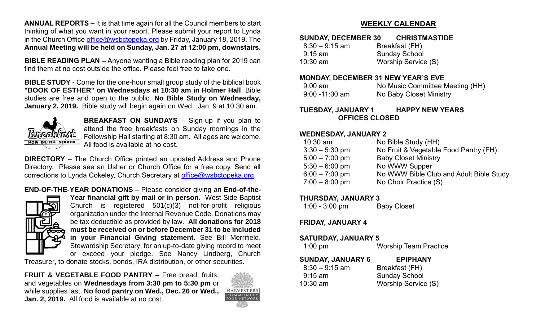**ANNUAL REPORTS –** It is that time again for all the Council members to start thinking of what you want in your report. Please submit your report to Lynda in the Church Office [office@wsbctopeka.org](mailto:office@wsbctopeka.org) by Friday, January 18, 2019. The **Annual Meeting will be held on Sunday, Jan. 27 at 12:00 pm, downstairs.** 

**BIBLE READING PLAN –** Anyone wanting a Bible reading plan for 2019 can find them at no cost outside the office. Please feel free to take one.

**BIBLE STUDY -** Come for the one-hour small group study of the biblical book **"BOOK OF ESTHER" on Wednesdays at 10:30 am in Holmer Hall**. Bible studies are free and open to the public. **No Bible Study on Wednesday, January 2, 2019.** Bible study will begin again on Wed., Jan. 9 at 10:30 am.



**BREAKFAST ON SUNDAYS** – Sign-up if you plan to attend the free breakfasts on Sunday mornings in the Fellowship Hall starting at 8:30 am. All ages are welcome. All food is available at no cost.

**DIRECTORY** – The Church Office printed an updated Address and Phone Directory. Please see an Usher or Church Office for a free copy. Send all corrections to Lynda Cokeley, Church Secretary at [office@wsbctopeka.org.](mailto:office@wsbctopeka.org)

**END-OF-THE-YEAR DONATIONS –** Please consider giving an **End-of-the-**



**Year financial gift by mail or in person.** West Side Baptist Church is registered 501(c)(3) not-for-profit religious organization under the Internal Revenue Code. Donations may be tax deductible as provided by law. **All donations for 2018 must be received on or before December 31 to be included in your Financial Giving statement.** See Bill Merrifield, Stewardship Secretary, for an up-to-date giving record to meet or exceed your pledge. See Nancy Lindberg, Church

Treasurer, to donate stocks, bonds, IRA distribution, or other securities.

**FRUIT & VEGETABLE FOOD PANTRY –** Free bread, fruits, and vegetables on **Wednesdays from 3:30 pm to 5:30 pm** or while supplies last. **No food pantry on Wed., Dec. 26 or Wed., Jan. 2, 2019.** All food is available at no cost.



# **WEEKLY CALENDAR**

#### **SUNDAY, DECEMBER 30 CHRISTMASTIDE**

| $8:30 - 9:15$ am | Breakfast (FH)       |
|------------------|----------------------|
| $9:15$ am        | <b>Sunday School</b> |
| $10:30$ am       | Worship Service (S)  |

#### **MONDAY, DECEMBER 31 NEW YEAR'S EVE**

| $9:00$ am         | No Music Committee Meeting (HH) |
|-------------------|---------------------------------|
| $9:00 - 11:00$ am | No Baby Closet Ministry         |

#### **TUESDAY, JANUARY 1 HAPPY NEW YEARS OFFICES CLOSED**

#### **WEDNESDAY, JANUARY 2**

| No Bible Study (HH)<br>$10:30$ am                           |  |
|-------------------------------------------------------------|--|
| No Fruit & Vegetable Food Pantry (FH)<br>$3:30 - 5:30$ pm   |  |
| $5:00 - 7:00$ pm<br><b>Baby Closet Ministry</b>             |  |
| No WWW Supper<br>$5:30 - 6:00$ pm                           |  |
| No WWW Bible Club and Adult Bible Study<br>$6:00 - 7:00$ pm |  |
| $7:00 - 8:00$ pm<br>No Choir Practice (S)                   |  |

#### **THURSDAY, JANUARY 3**

| $1:00 - 3:00$ pm | <b>Baby Closet</b> |
|------------------|--------------------|
|------------------|--------------------|

#### **FRIDAY, JANUARY 4**

#### **SATURDAY, JANUARY 5**

| $1:00$ pm | <b>Worship Team Practice</b> |
|-----------|------------------------------|
|           |                              |

| <b>SUNDAY, JANUARY 6</b> | <b>EPIPHANY</b>      |
|--------------------------|----------------------|
| $8:30 - 9:15$ am         | Breakfast (FH)       |
| $9:15 \text{ am}$        | <b>Sunday School</b> |
| $10:30$ am               | Worship Service (S)  |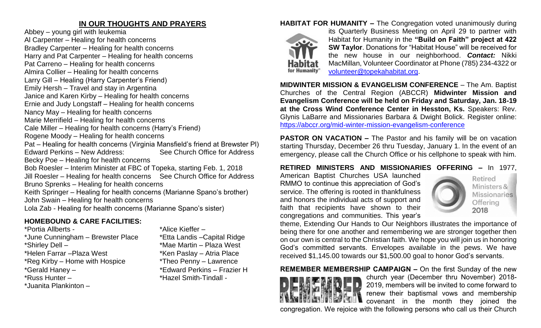# **IN OUR THOUGHTS AND PRAYERS**

Abbey – young girl with leukemia Al Carpenter – Healing for health concerns Bradley Carpenter – Healing for health concerns Harry and Pat Carpenter – Healing for health concerns Pat Carreno – Healing for health concerns Almira Collier – Healing for health concerns Larry Gill – Healing (Harry Carpenter's Friend) Emily Hersh – Travel and stay in Argentina Janice and Karen Kirby – Healing for health concerns Ernie and Judy Longstaff – Healing for health concerns Nancy May – Healing for health concerns Marie Merrifield – Healing for health concerns Cale Miller – Healing for health concerns (Harry's Friend) Rogene Moody – Healing for health concerns Pat – Healing for health concerns (Virginia Mansfield's friend at Brewster Pl) Edward Perkins – New Address: See Church Office for Address Becky Poe – Healing for health concerns Bob Roesler – Interim Minister at FBC of Topeka, starting Feb. 1, 2018 Jill Roesler – Healing for health concerns See Church Office for Address Bruno Sprenks – Healing for health concerns Keith Springer – Healing for health concerns (Marianne Spano's brother) John Swain – Healing for health concerns Lola Zab - Healing for health concerns (Marianne Spano's sister)

# **HOMEBOUND & CARE FACILITIES:**

\*Portia Allberts - \* \*Alice Kieffer – \*June Cunningham – Brewster Place \*Etta Landis –Capital Ridge \*Shirley Dell – \*Mae Martin – Plaza West \*Helen Farrar – Plaza West \*Ken Paslay – Atria Place \*Reg Kirby – Home with Hospice \*Theo Penny – Lawrence<br>\*Gerald Haney – \* \*Edward Perkins – Frazie \*Russ Hunter – \* \*Hazel Smith-Tindall -\*Juanita Plankinton –

\*Edward Perkins – Frazier H

# **HABITAT FOR HUMANITY –** The Congregation voted unanimously during



its Quarterly Business Meeting on April 29 to partner with Habitat for Humanity in the **"Build on Faith" project at 422 SW Taylor**. Donations for "Habitat House" will be received for the new house in our neighborhood. *Contact:* Nikki MacMillan, Volunteer Coordinator at Phone (785) 234-4322 or [volunteer@topekahabitat.org.](mailto:volunteer@topekahabitat.org)

**MIDWINTER MISSION & EVANGELISM CONFERENCE** – The Am. Baptist Churches of the Central Region (ABCCR) **Midwinter Mission and Evangelism Conference will be held on Friday and Saturday, Jan. 18-19 at the Cross Wind Conference Center in Hesston, Ks.** Speakers: Rev. Glynis LaBarre and Missionaries Barbara & Dwight Bolick. Register online: <https://abccr.org/mid-winter-mission-evangelism-conference>

**PASTOR ON VACATION –** The Pastor and his family will be on vacation starting Thursday, December 26 thru Tuesday, January 1. In the event of an emergency, please call the Church Office or his cellphone to speak with him.

## **RETIRED MINISTERS AND MISSIONARIES OFFERING –** In 1977,

American Baptist Churches USA launched RMMO to continue this appreciation of God's service. The offering is rooted in thankfulness and honors the individual acts of support and faith that recipients have shown to their congregations and communities. This year's



theme, Extending Our Hands to Our Neighbors illustrates the importance of being there for one another and remembering we are stronger together then on our own is central to the Christian faith. We hope you will join us in honoring God's committed servants. Envelopes available in the pews. We have received \$1,145.00 towards our \$1,500.00 goal to honor God's servants.

#### **REMEMBER MEMBERSHIP CAMPAIGN –** On the first Sunday of the new church year (December thru November) 2018- 2019, members will be invited to come forward to renew their baptismal vows and membership covenant in the month they joined the

congregation. We rejoice with the following persons who call us their Church